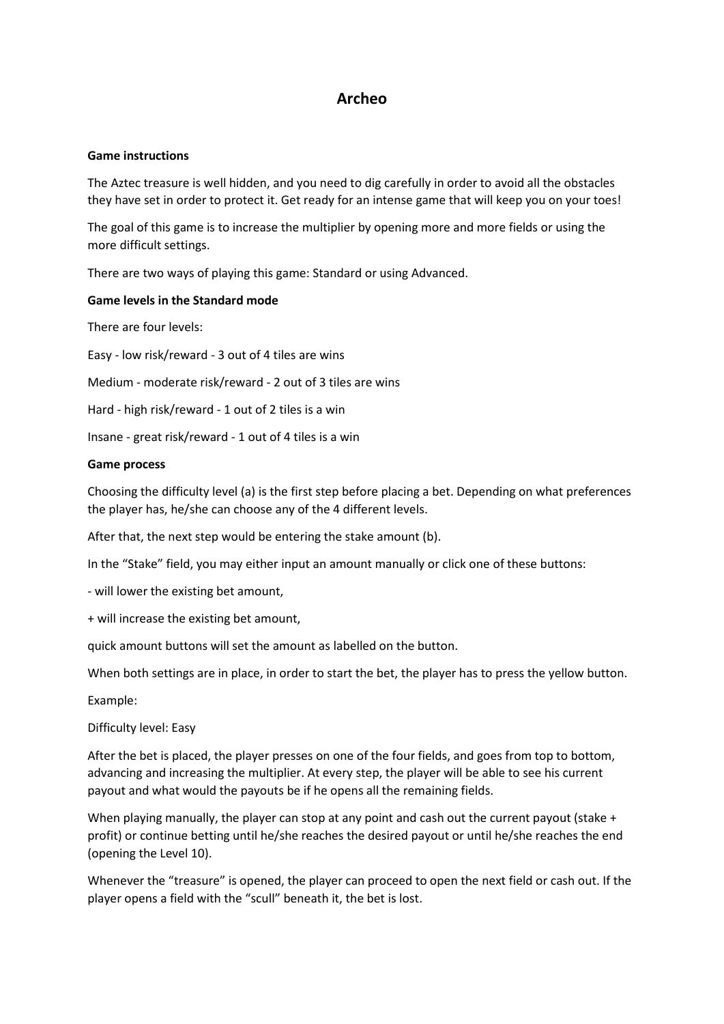# **Archeo**

### **Game instructions**

The Aztec treasure is well hidden, and you need to dig carefully in order to avoid all the obstacles they have set in order to protect it. Get ready for an intense game that will keep you on your toes!

The goal of this game is to increase the multiplier by opening more and more fields or using the more difficult settings.

There are two ways of playing this game: Standard or using Advanced.

# **Game levels in the Standard mode**

There are four levels:

Easy - low risk/reward - 3 out of 4 tiles are wins

Medium - moderate risk/reward - 2 out of 3 tiles are wins

Hard - high risk/reward - 1 out of 2 tiles is a win

Insane - great risk/reward - 1 out of 4 tiles is a win

### **Game process**

Choosing the difficulty level (a) is the first step before placing a bet. Depending on what preferences the player has, he/she can choose any of the 4 different levels.

After that, the next step would be entering the stake amount (b).

In the "Stake" field, you may either input an amount manually or click one of these buttons:

- will lower the existing bet amount,

+ will increase the existing bet amount,

quick amount buttons will set the amount as labelled on the button.

When both settings are in place, in order to start the bet, the player has to press the yellow button.

Example:

Difficulty level: Easy

After the bet is placed, the player presses on one of the four fields, and goes from top to bottom, advancing and increasing the multiplier. At every step, the player will be able to see his current payout and what would the payouts be if he opens all the remaining fields.

When playing manually, the player can stop at any point and cash out the current payout (stake + profit) or continue betting until he/she reaches the desired payout or until he/she reaches the end (opening the Level 10).

Whenever the "treasure" is opened, the player can proceed to open the next field or cash out. If the player opens a field with the "scull" beneath it, the bet is lost.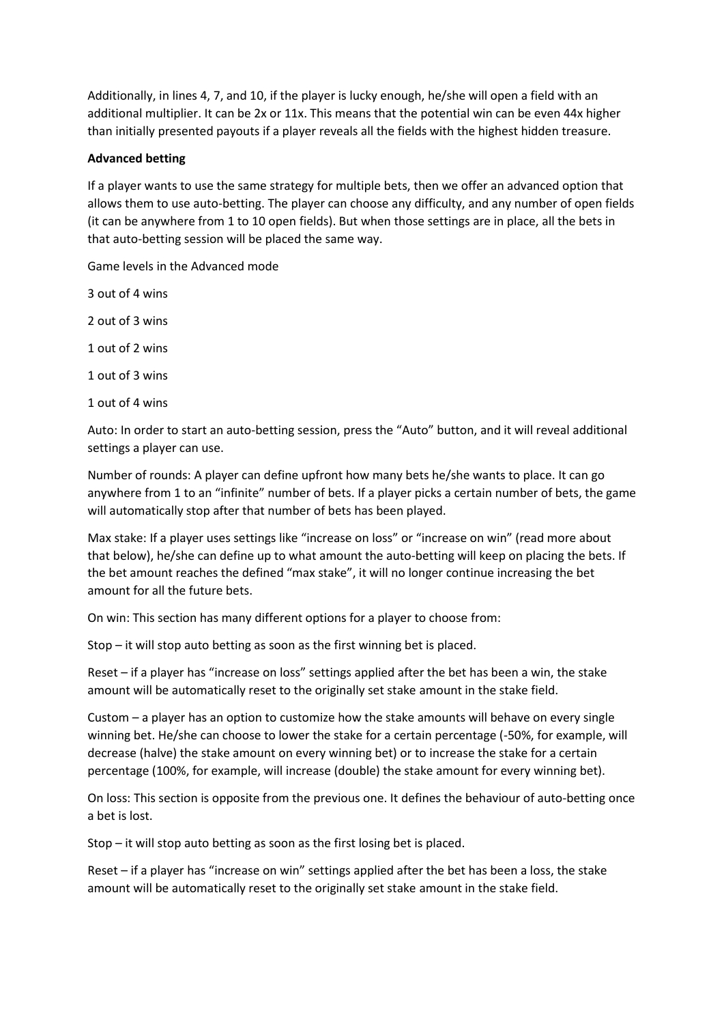Additionally, in lines 4, 7, and 10, if the player is lucky enough, he/she will open a field with an additional multiplier. It can be 2x or 11x. This means that the potential win can be even 44x higher than initially presented payouts if a player reveals all the fields with the highest hidden treasure.

# **Advanced betting**

If a player wants to use the same strategy for multiple bets, then we offer an advanced option that allows them to use auto-betting. The player can choose any difficulty, and any number of open fields (it can be anywhere from 1 to 10 open fields). But when those settings are in place, all the bets in that auto-betting session will be placed the same way.

Game levels in the Advanced mode

3 out of 4 wins

2 out of 3 wins

1 out of 2 wins

1 out of 3 wins

1 out of 4 wins

Auto: In order to start an auto-betting session, press the "Auto" button, and it will reveal additional settings a player can use.

Number of rounds: A player can define upfront how many bets he/she wants to place. It can go anywhere from 1 to an "infinite" number of bets. If a player picks a certain number of bets, the game will automatically stop after that number of bets has been played.

Max stake: If a player uses settings like "increase on loss" or "increase on win" (read more about that below), he/she can define up to what amount the auto-betting will keep on placing the bets. If the bet amount reaches the defined "max stake", it will no longer continue increasing the bet amount for all the future bets.

On win: This section has many different options for a player to choose from:

Stop – it will stop auto betting as soon as the first winning bet is placed.

Reset – if a player has "increase on loss" settings applied after the bet has been a win, the stake amount will be automatically reset to the originally set stake amount in the stake field.

Custom – a player has an option to customize how the stake amounts will behave on every single winning bet. He/she can choose to lower the stake for a certain percentage (-50%, for example, will decrease (halve) the stake amount on every winning bet) or to increase the stake for a certain percentage (100%, for example, will increase (double) the stake amount for every winning bet).

On loss: This section is opposite from the previous one. It defines the behaviour of auto-betting once a bet is lost.

Stop – it will stop auto betting as soon as the first losing bet is placed.

Reset – if a player has "increase on win" settings applied after the bet has been a loss, the stake amount will be automatically reset to the originally set stake amount in the stake field.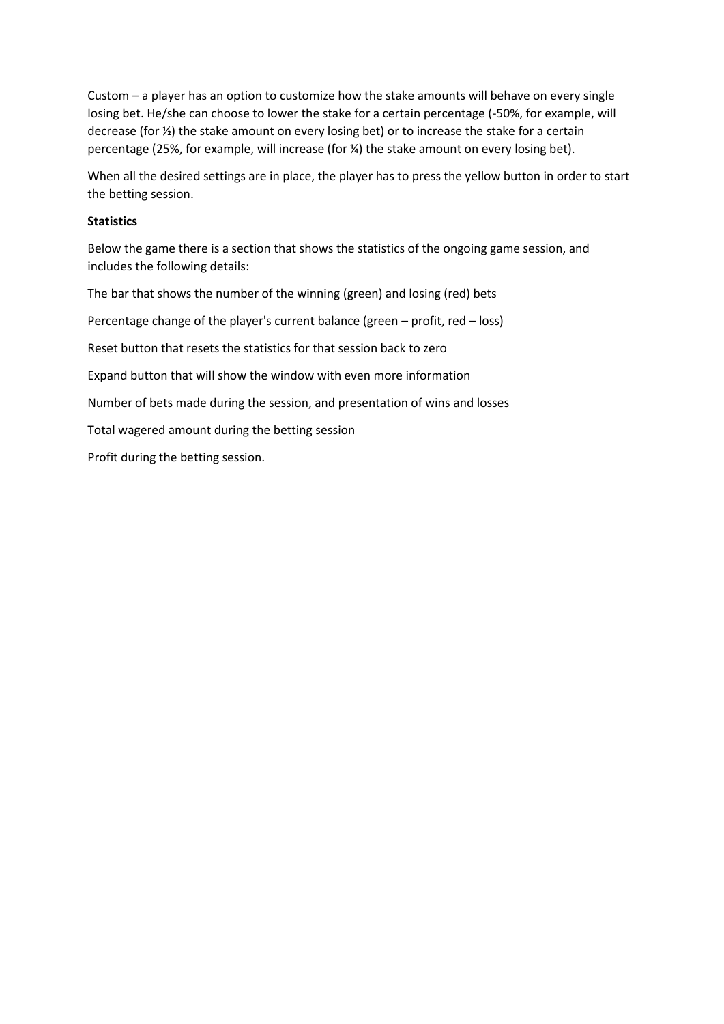Custom – a player has an option to customize how the stake amounts will behave on every single losing bet. He/she can choose to lower the stake for a certain percentage (-50%, for example, will decrease (for ½) the stake amount on every losing bet) or to increase the stake for a certain percentage (25%, for example, will increase (for ¼) the stake amount on every losing bet).

When all the desired settings are in place, the player has to press the yellow button in order to start the betting session.

### **Statistics**

Below the game there is a section that shows the statistics of the ongoing game session, and includes the following details:

The bar that shows the number of the winning (green) and losing (red) bets

Percentage change of the player's current balance (green – profit, red – loss)

Reset button that resets the statistics for that session back to zero

Expand button that will show the window with even more information

Number of bets made during the session, and presentation of wins and losses

Total wagered amount during the betting session

Profit during the betting session.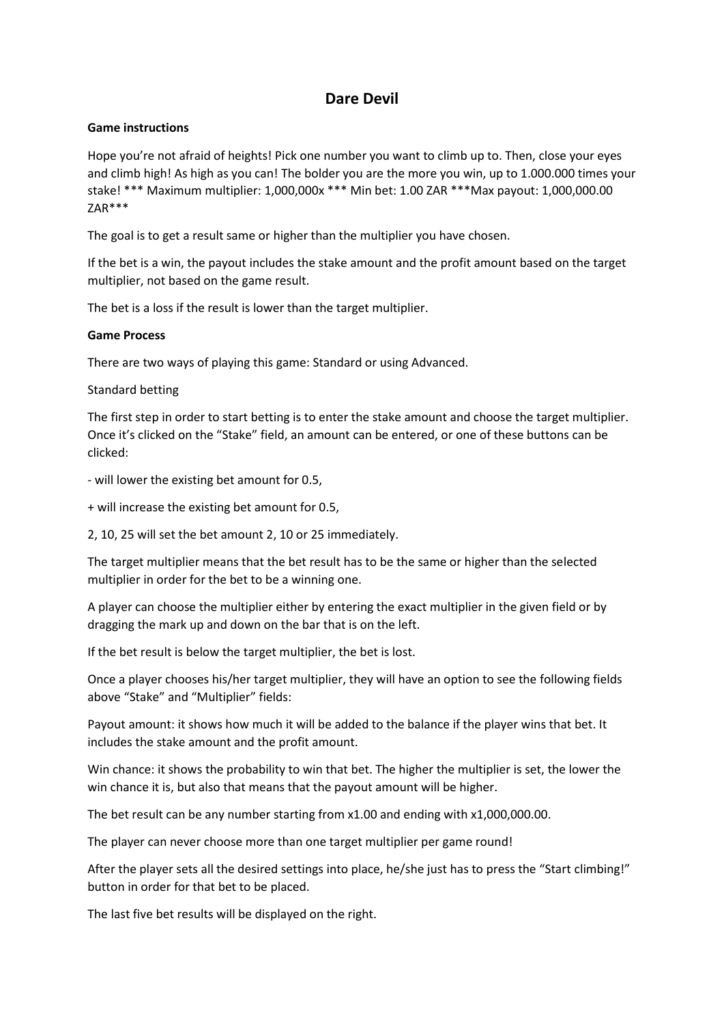# **Dare Devil**

# **Game instructions**

Hope you're not afraid of heights! Pick one number you want to climb up to. Then, close your eyes and climb high! As high as you can! The bolder you are the more you win, up to 1.000.000 times your stake! \*\*\* Maximum multiplier: 1,000,000x \*\*\* Min bet: 1.00 ZAR \*\*\*Max payout: 1,000,000.00 ZAR\*\*\*

The goal is to get a result same or higher than the multiplier you have chosen.

If the bet is a win, the payout includes the stake amount and the profit amount based on the target multiplier, not based on the game result.

The bet is a loss if the result is lower than the target multiplier.

# **Game Process**

There are two ways of playing this game: Standard or using Advanced.

### Standard betting

The first step in order to start betting is to enter the stake amount and choose the target multiplier. Once it's clicked on the "Stake" field, an amount can be entered, or one of these buttons can be clicked:

- will lower the existing bet amount for 0.5,
- + will increase the existing bet amount for 0.5,

2, 10, 25 will set the bet amount 2, 10 or 25 immediately.

The target multiplier means that the bet result has to be the same or higher than the selected multiplier in order for the bet to be a winning one.

A player can choose the multiplier either by entering the exact multiplier in the given field or by dragging the mark up and down on the bar that is on the left.

If the bet result is below the target multiplier, the bet is lost.

Once a player chooses his/her target multiplier, they will have an option to see the following fields above "Stake" and "Multiplier" fields:

Payout amount: it shows how much it will be added to the balance if the player wins that bet. It includes the stake amount and the profit amount.

Win chance: it shows the probability to win that bet. The higher the multiplier is set, the lower the win chance it is, but also that means that the payout amount will be higher.

The bet result can be any number starting from x1.00 and ending with x1,000,000.00.

The player can never choose more than one target multiplier per game round!

After the player sets all the desired settings into place, he/she just has to press the "Start climbing!" button in order for that bet to be placed.

The last five bet results will be displayed on the right.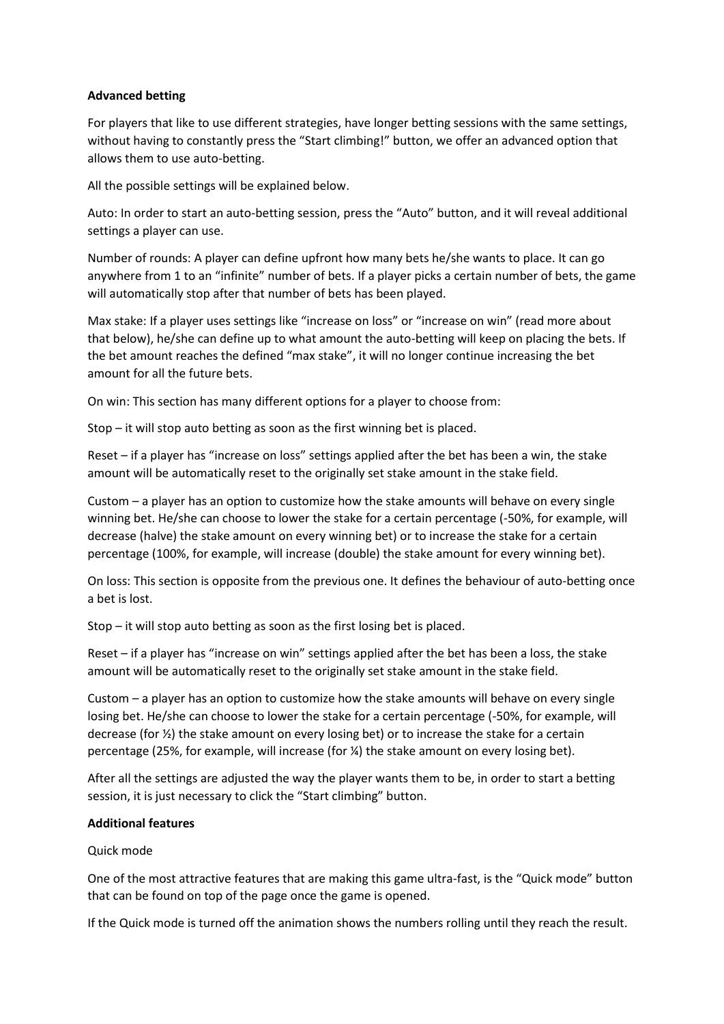# **Advanced betting**

For players that like to use different strategies, have longer betting sessions with the same settings, without having to constantly press the "Start climbing!" button, we offer an advanced option that allows them to use auto-betting.

All the possible settings will be explained below.

Auto: In order to start an auto-betting session, press the "Auto" button, and it will reveal additional settings a player can use.

Number of rounds: A player can define upfront how many bets he/she wants to place. It can go anywhere from 1 to an "infinite" number of bets. If a player picks a certain number of bets, the game will automatically stop after that number of bets has been played.

Max stake: If a player uses settings like "increase on loss" or "increase on win" (read more about that below), he/she can define up to what amount the auto-betting will keep on placing the bets. If the bet amount reaches the defined "max stake", it will no longer continue increasing the bet amount for all the future bets.

On win: This section has many different options for a player to choose from:

Stop – it will stop auto betting as soon as the first winning bet is placed.

Reset – if a player has "increase on loss" settings applied after the bet has been a win, the stake amount will be automatically reset to the originally set stake amount in the stake field.

Custom – a player has an option to customize how the stake amounts will behave on every single winning bet. He/she can choose to lower the stake for a certain percentage (-50%, for example, will decrease (halve) the stake amount on every winning bet) or to increase the stake for a certain percentage (100%, for example, will increase (double) the stake amount for every winning bet).

On loss: This section is opposite from the previous one. It defines the behaviour of auto-betting once a bet is lost.

Stop – it will stop auto betting as soon as the first losing bet is placed.

Reset – if a player has "increase on win" settings applied after the bet has been a loss, the stake amount will be automatically reset to the originally set stake amount in the stake field.

Custom – a player has an option to customize how the stake amounts will behave on every single losing bet. He/she can choose to lower the stake for a certain percentage (-50%, for example, will decrease (for ½) the stake amount on every losing bet) or to increase the stake for a certain percentage (25%, for example, will increase (for ¼) the stake amount on every losing bet).

After all the settings are adjusted the way the player wants them to be, in order to start a betting session, it is just necessary to click the "Start climbing" button.

### **Additional features**

Quick mode

One of the most attractive features that are making this game ultra-fast, is the "Quick mode" button that can be found on top of the page once the game is opened.

If the Quick mode is turned off the animation shows the numbers rolling until they reach the result.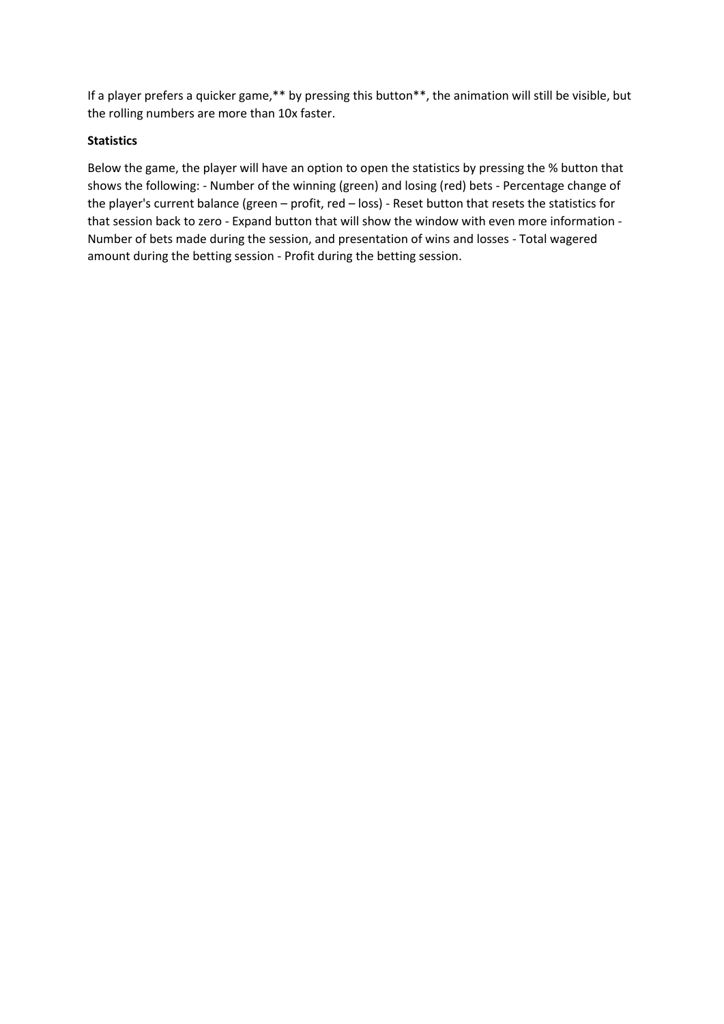If a player prefers a quicker game,\*\* by pressing this button\*\*, the animation will still be visible, but the rolling numbers are more than 10x faster.

# **Statistics**

Below the game, the player will have an option to open the statistics by pressing the % button that shows the following: - Number of the winning (green) and losing (red) bets - Percentage change of the player's current balance (green – profit, red – loss) - Reset button that resets the statistics for that session back to zero - Expand button that will show the window with even more information - Number of bets made during the session, and presentation of wins and losses - Total wagered amount during the betting session - Profit during the betting session.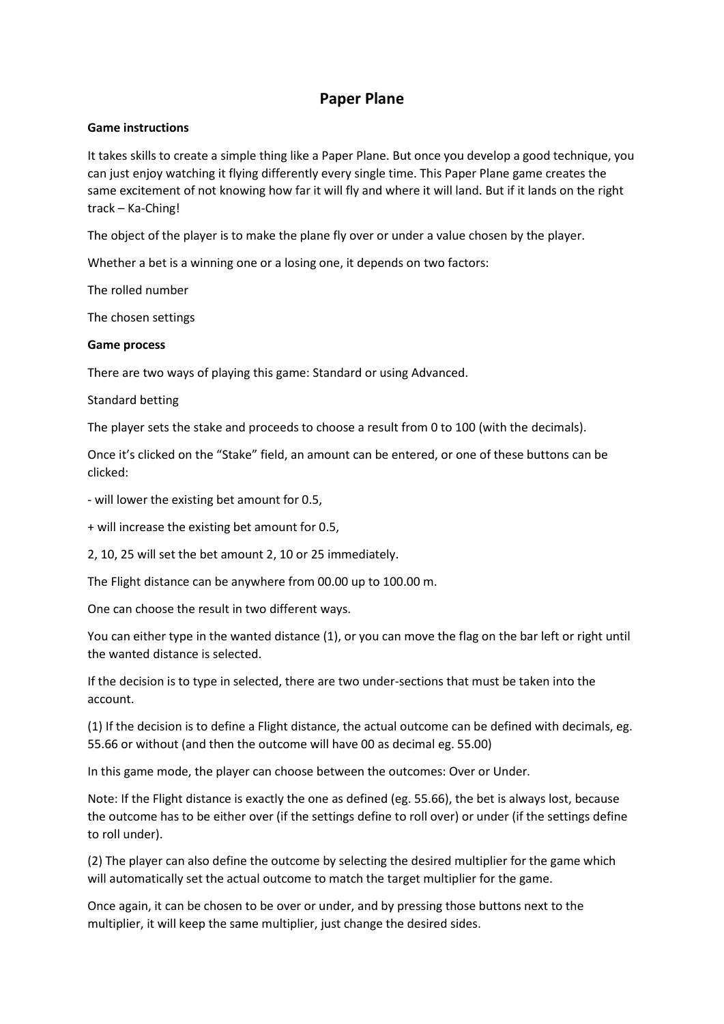# **Paper Plane**

# **Game instructions**

It takes skills to create a simple thing like a Paper Plane. But once you develop a good technique, you can just enjoy watching it flying differently every single time. This Paper Plane game creates the same excitement of not knowing how far it will fly and where it will land. But if it lands on the right track – Ka-Ching!

The object of the player is to make the plane fly over or under a value chosen by the player.

Whether a bet is a winning one or a losing one, it depends on two factors:

The rolled number

The chosen settings

# **Game process**

There are two ways of playing this game: Standard or using Advanced.

# Standard betting

The player sets the stake and proceeds to choose a result from 0 to 100 (with the decimals).

Once it's clicked on the "Stake" field, an amount can be entered, or one of these buttons can be clicked:

- will lower the existing bet amount for 0.5,

+ will increase the existing bet amount for 0.5,

2, 10, 25 will set the bet amount 2, 10 or 25 immediately.

The Flight distance can be anywhere from 00.00 up to 100.00 m.

One can choose the result in two different ways.

You can either type in the wanted distance (1), or you can move the flag on the bar left or right until the wanted distance is selected.

If the decision is to type in selected, there are two under-sections that must be taken into the account.

(1) If the decision is to define a Flight distance, the actual outcome can be defined with decimals, eg. 55.66 or without (and then the outcome will have 00 as decimal eg. 55.00)

In this game mode, the player can choose between the outcomes: Over or Under.

Note: If the Flight distance is exactly the one as defined (eg. 55.66), the bet is always lost, because the outcome has to be either over (if the settings define to roll over) or under (if the settings define to roll under).

(2) The player can also define the outcome by selecting the desired multiplier for the game which will automatically set the actual outcome to match the target multiplier for the game.

Once again, it can be chosen to be over or under, and by pressing those buttons next to the multiplier, it will keep the same multiplier, just change the desired sides.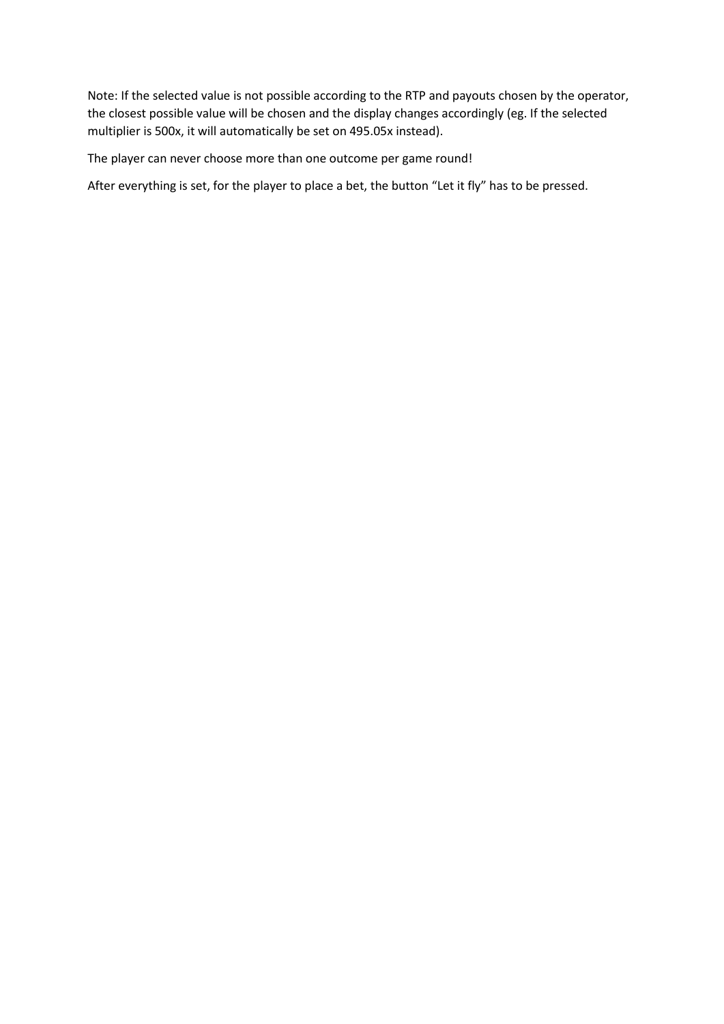Note: If the selected value is not possible according to the RTP and payouts chosen by the operator, the closest possible value will be chosen and the display changes accordingly (eg. If the selected multiplier is 500x, it will automatically be set on 495.05x instead).

The player can never choose more than one outcome per game round!

After everything is set, for the player to place a bet, the button "Let it fly" has to be pressed.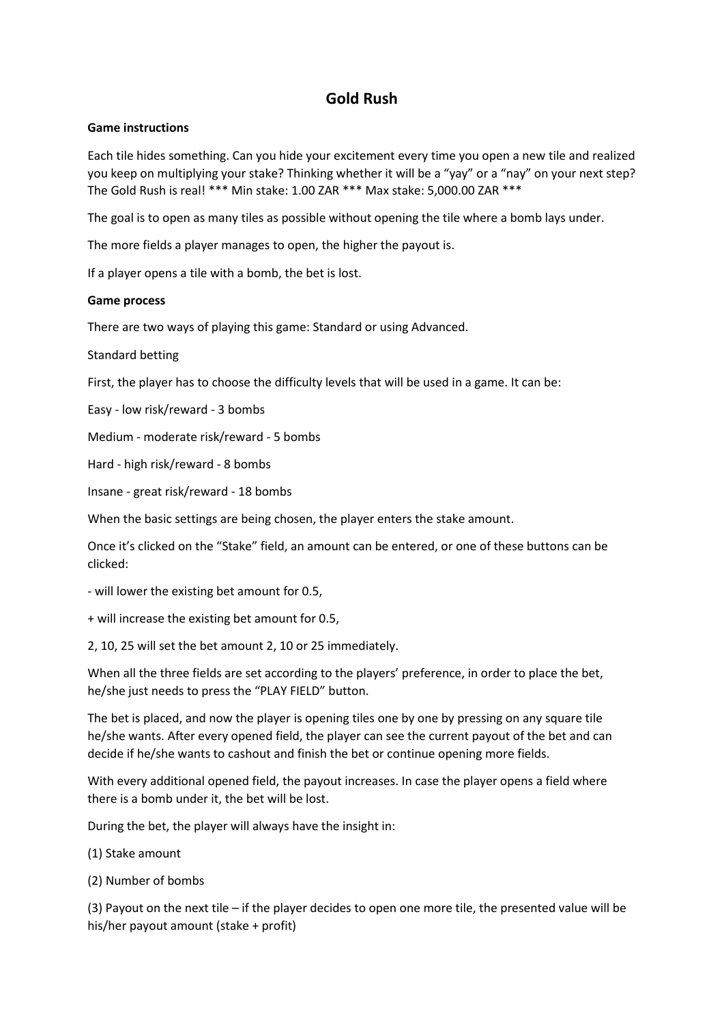# **Gold Rush**

### **Game instructions**

Each tile hides something. Can you hide your excitement every time you open a new tile and realized you keep on multiplying your stake? Thinking whether it will be a "yay" or a "nay" on your next step? The Gold Rush is real! \*\*\* Min stake: 1.00 ZAR \*\*\* Max stake: 5,000.00 ZAR \*\*\*

The goal is to open as many tiles as possible without opening the tile where a bomb lays under.

The more fields a player manages to open, the higher the payout is.

If a player opens a tile with a bomb, the bet is lost.

### **Game process**

There are two ways of playing this game: Standard or using Advanced.

Standard betting

First, the player has to choose the difficulty levels that will be used in a game. It can be:

Easy - low risk/reward - 3 bombs

Medium - moderate risk/reward - 5 bombs

Hard - high risk/reward - 8 bombs

Insane - great risk/reward - 18 bombs

When the basic settings are being chosen, the player enters the stake amount.

Once it's clicked on the "Stake" field, an amount can be entered, or one of these buttons can be clicked:

- will lower the existing bet amount for 0.5,

+ will increase the existing bet amount for 0.5,

2, 10, 25 will set the bet amount 2, 10 or 25 immediately.

When all the three fields are set according to the players' preference, in order to place the bet, he/she just needs to press the "PLAY FIELD" button.

The bet is placed, and now the player is opening tiles one by one by pressing on any square tile he/she wants. After every opened field, the player can see the current payout of the bet and can decide if he/she wants to cashout and finish the bet or continue opening more fields.

With every additional opened field, the payout increases. In case the player opens a field where there is a bomb under it, the bet will be lost.

During the bet, the player will always have the insight in:

(1) Stake amount

(2) Number of bombs

(3) Payout on the next tile – if the player decides to open one more tile, the presented value will be his/her payout amount (stake + profit)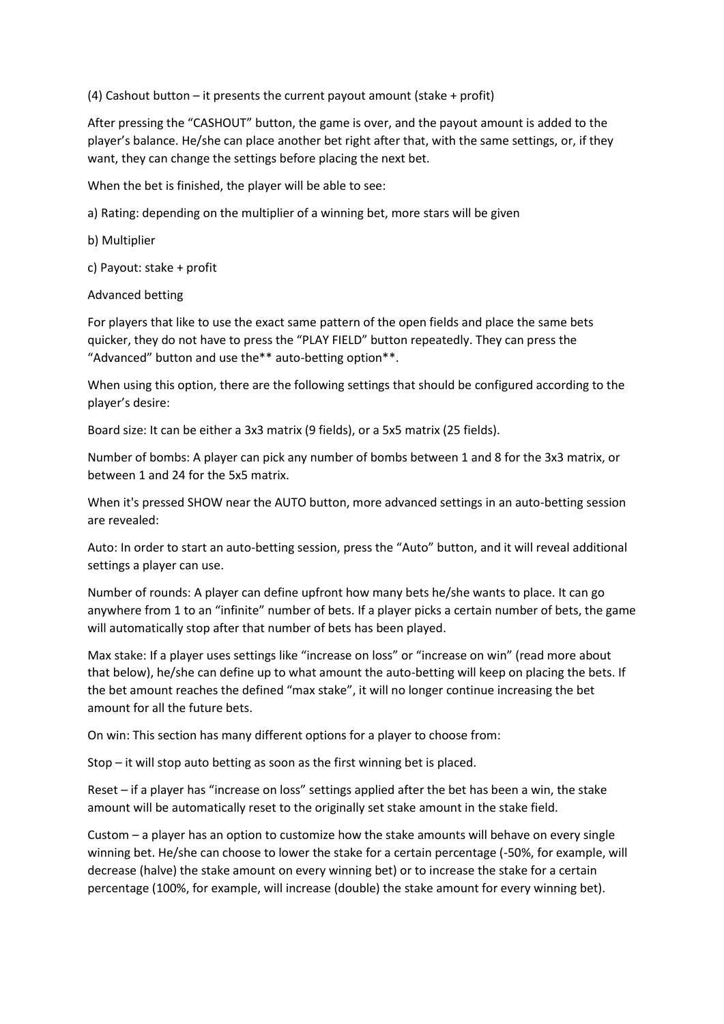(4) Cashout button – it presents the current payout amount (stake + profit)

After pressing the "CASHOUT" button, the game is over, and the payout amount is added to the player's balance. He/she can place another bet right after that, with the same settings, or, if they want, they can change the settings before placing the next bet.

When the bet is finished, the player will be able to see:

a) Rating: depending on the multiplier of a winning bet, more stars will be given

b) Multiplier

c) Payout: stake + profit

# Advanced betting

For players that like to use the exact same pattern of the open fields and place the same bets quicker, they do not have to press the "PLAY FIELD" button repeatedly. They can press the "Advanced" button and use the\*\* auto-betting option\*\*.

When using this option, there are the following settings that should be configured according to the player's desire:

Board size: It can be either a 3x3 matrix (9 fields), or a 5x5 matrix (25 fields).

Number of bombs: A player can pick any number of bombs between 1 and 8 for the 3x3 matrix, or between 1 and 24 for the 5x5 matrix.

When it's pressed SHOW near the AUTO button, more advanced settings in an auto-betting session are revealed:

Auto: In order to start an auto-betting session, press the "Auto" button, and it will reveal additional settings a player can use.

Number of rounds: A player can define upfront how many bets he/she wants to place. It can go anywhere from 1 to an "infinite" number of bets. If a player picks a certain number of bets, the game will automatically stop after that number of bets has been played.

Max stake: If a player uses settings like "increase on loss" or "increase on win" (read more about that below), he/she can define up to what amount the auto-betting will keep on placing the bets. If the bet amount reaches the defined "max stake", it will no longer continue increasing the bet amount for all the future bets.

On win: This section has many different options for a player to choose from:

Stop – it will stop auto betting as soon as the first winning bet is placed.

Reset – if a player has "increase on loss" settings applied after the bet has been a win, the stake amount will be automatically reset to the originally set stake amount in the stake field.

Custom – a player has an option to customize how the stake amounts will behave on every single winning bet. He/she can choose to lower the stake for a certain percentage (-50%, for example, will decrease (halve) the stake amount on every winning bet) or to increase the stake for a certain percentage (100%, for example, will increase (double) the stake amount for every winning bet).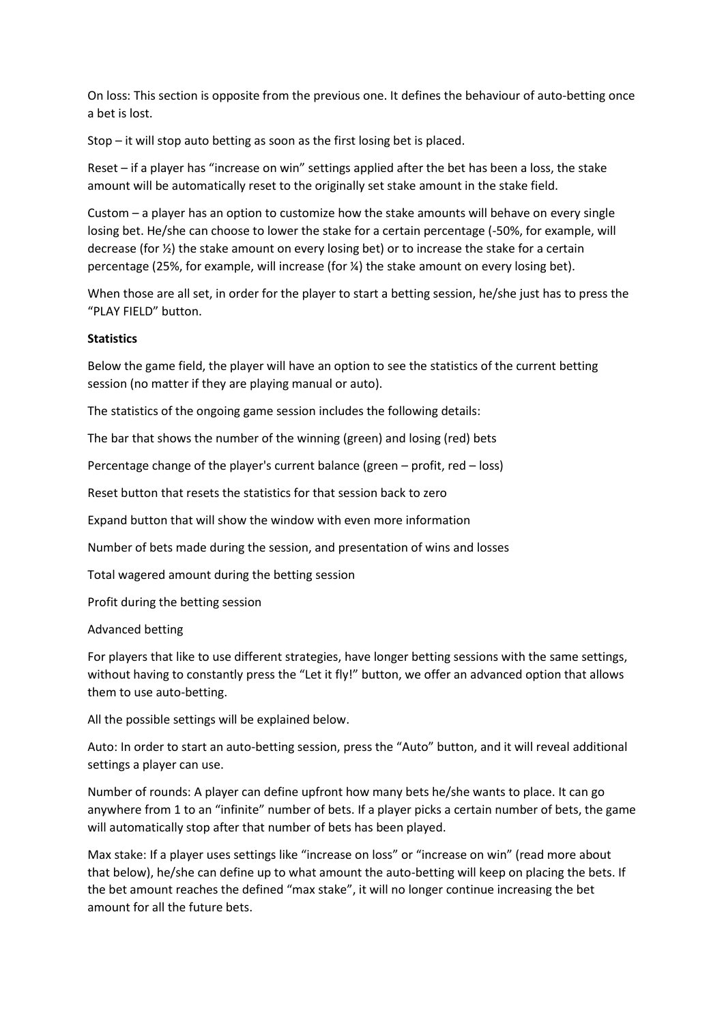On loss: This section is opposite from the previous one. It defines the behaviour of auto-betting once a bet is lost.

Stop – it will stop auto betting as soon as the first losing bet is placed.

Reset – if a player has "increase on win" settings applied after the bet has been a loss, the stake amount will be automatically reset to the originally set stake amount in the stake field.

Custom – a player has an option to customize how the stake amounts will behave on every single losing bet. He/she can choose to lower the stake for a certain percentage (-50%, for example, will decrease (for ½) the stake amount on every losing bet) or to increase the stake for a certain percentage (25%, for example, will increase (for  $\frac{1}{2}$ ) the stake amount on every losing bet).

When those are all set, in order for the player to start a betting session, he/she just has to press the "PLAY FIELD" button.

### **Statistics**

Below the game field, the player will have an option to see the statistics of the current betting session (no matter if they are playing manual or auto).

The statistics of the ongoing game session includes the following details:

The bar that shows the number of the winning (green) and losing (red) bets

Percentage change of the player's current balance (green – profit, red – loss)

Reset button that resets the statistics for that session back to zero

Expand button that will show the window with even more information

Number of bets made during the session, and presentation of wins and losses

Total wagered amount during the betting session

Profit during the betting session

Advanced betting

For players that like to use different strategies, have longer betting sessions with the same settings, without having to constantly press the "Let it fly!" button, we offer an advanced option that allows them to use auto-betting.

All the possible settings will be explained below.

Auto: In order to start an auto-betting session, press the "Auto" button, and it will reveal additional settings a player can use.

Number of rounds: A player can define upfront how many bets he/she wants to place. It can go anywhere from 1 to an "infinite" number of bets. If a player picks a certain number of bets, the game will automatically stop after that number of bets has been played.

Max stake: If a player uses settings like "increase on loss" or "increase on win" (read more about that below), he/she can define up to what amount the auto-betting will keep on placing the bets. If the bet amount reaches the defined "max stake", it will no longer continue increasing the bet amount for all the future bets.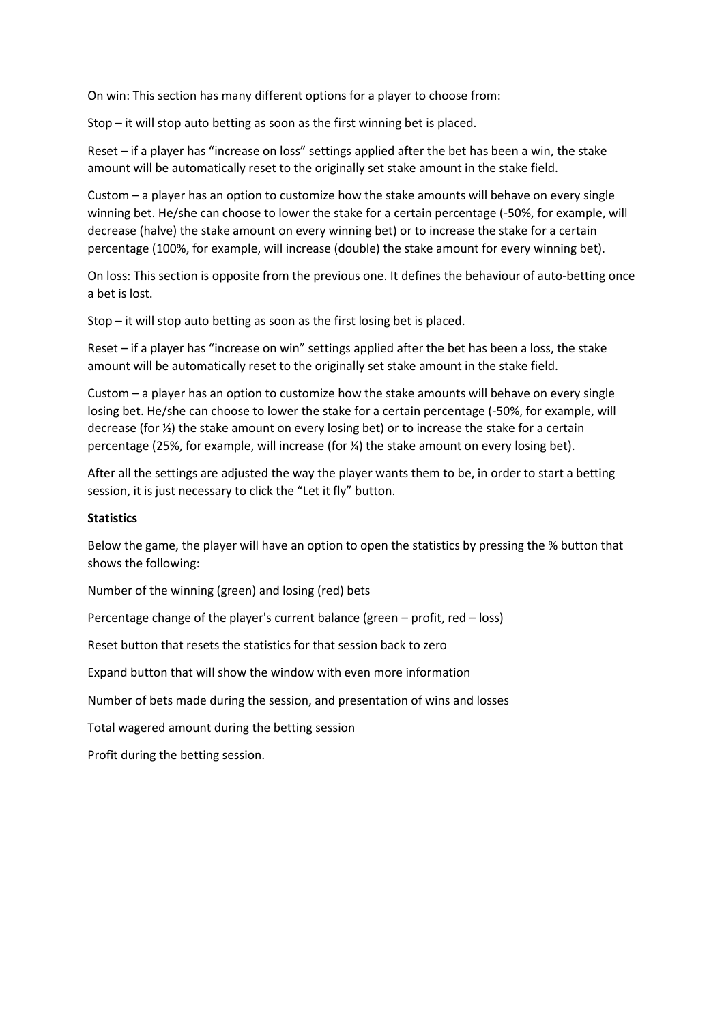On win: This section has many different options for a player to choose from:

Stop – it will stop auto betting as soon as the first winning bet is placed.

Reset – if a player has "increase on loss" settings applied after the bet has been a win, the stake amount will be automatically reset to the originally set stake amount in the stake field.

Custom – a player has an option to customize how the stake amounts will behave on every single winning bet. He/she can choose to lower the stake for a certain percentage (-50%, for example, will decrease (halve) the stake amount on every winning bet) or to increase the stake for a certain percentage (100%, for example, will increase (double) the stake amount for every winning bet).

On loss: This section is opposite from the previous one. It defines the behaviour of auto-betting once a bet is lost.

Stop – it will stop auto betting as soon as the first losing bet is placed.

Reset – if a player has "increase on win" settings applied after the bet has been a loss, the stake amount will be automatically reset to the originally set stake amount in the stake field.

Custom – a player has an option to customize how the stake amounts will behave on every single losing bet. He/she can choose to lower the stake for a certain percentage (-50%, for example, will decrease (for ½) the stake amount on every losing bet) or to increase the stake for a certain percentage (25%, for example, will increase (for ¼) the stake amount on every losing bet).

After all the settings are adjusted the way the player wants them to be, in order to start a betting session, it is just necessary to click the "Let it fly" button.

#### **Statistics**

Below the game, the player will have an option to open the statistics by pressing the % button that shows the following:

Number of the winning (green) and losing (red) bets

Percentage change of the player's current balance (green – profit, red – loss)

Reset button that resets the statistics for that session back to zero

Expand button that will show the window with even more information

Number of bets made during the session, and presentation of wins and losses

Total wagered amount during the betting session

Profit during the betting session.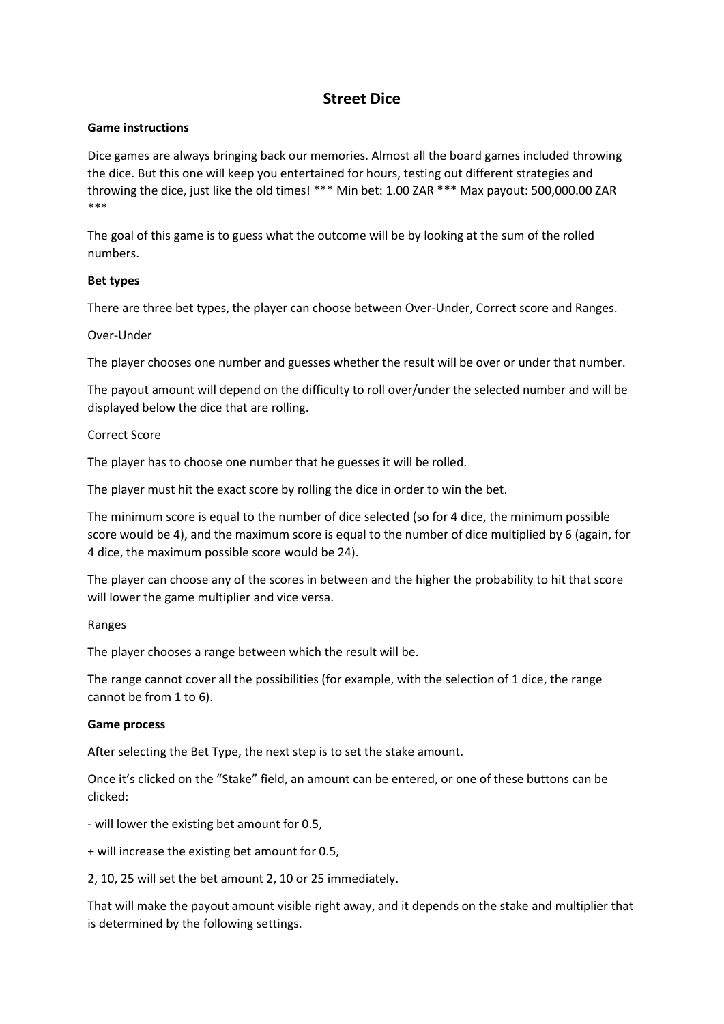# **Street Dice**

# **Game instructions**

Dice games are always bringing back our memories. Almost all the board games included throwing the dice. But this one will keep you entertained for hours, testing out different strategies and throwing the dice, just like the old times! \*\*\* Min bet: 1.00 ZAR \*\*\* Max payout: 500,000.00 ZAR \*\*\*

The goal of this game is to guess what the outcome will be by looking at the sum of the rolled numbers.

# **Bet types**

There are three bet types, the player can choose between Over-Under, Correct score and Ranges.

### Over-Under

The player chooses one number and guesses whether the result will be over or under that number.

The payout amount will depend on the difficulty to roll over/under the selected number and will be displayed below the dice that are rolling.

# Correct Score

The player has to choose one number that he guesses it will be rolled.

The player must hit the exact score by rolling the dice in order to win the bet.

The minimum score is equal to the number of dice selected (so for 4 dice, the minimum possible score would be 4), and the maximum score is equal to the number of dice multiplied by 6 (again, for 4 dice, the maximum possible score would be 24).

The player can choose any of the scores in between and the higher the probability to hit that score will lower the game multiplier and vice versa.

### Ranges

The player chooses a range between which the result will be.

The range cannot cover all the possibilities (for example, with the selection of 1 dice, the range cannot be from 1 to 6).

### **Game process**

After selecting the Bet Type, the next step is to set the stake amount.

Once it's clicked on the "Stake" field, an amount can be entered, or one of these buttons can be clicked:

- will lower the existing bet amount for 0.5,

+ will increase the existing bet amount for 0.5,

2, 10, 25 will set the bet amount 2, 10 or 25 immediately.

That will make the payout amount visible right away, and it depends on the stake and multiplier that is determined by the following settings.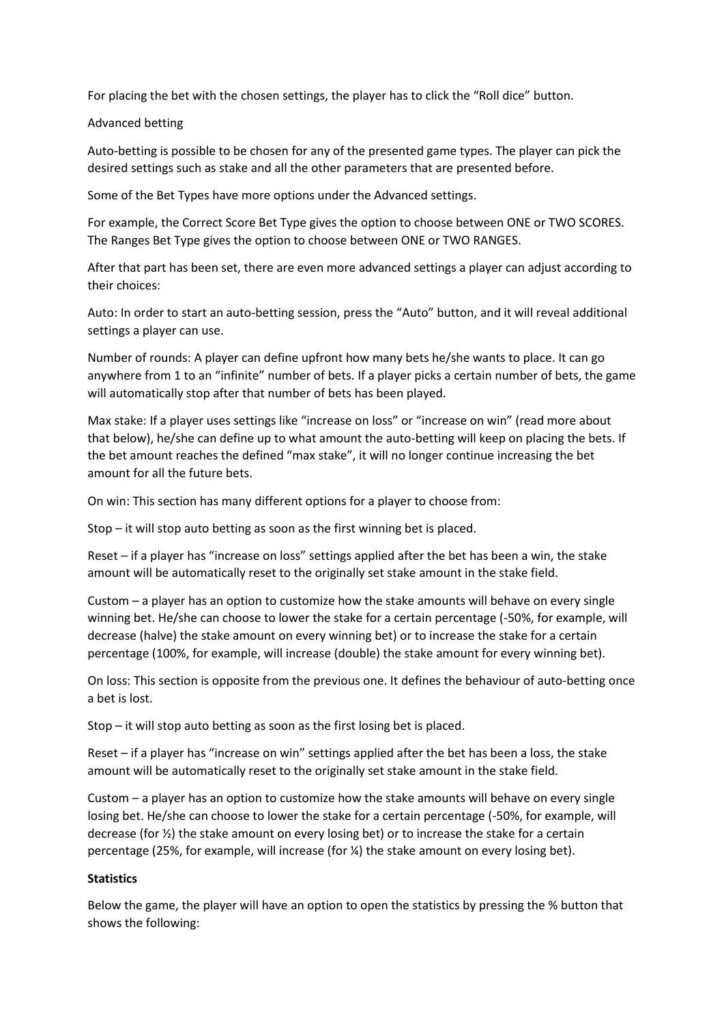For placing the bet with the chosen settings, the player has to click the "Roll dice" button.

# Advanced betting

Auto-betting is possible to be chosen for any of the presented game types. The player can pick the desired settings such as stake and all the other parameters that are presented before.

Some of the Bet Types have more options under the Advanced settings.

For example, the Correct Score Bet Type gives the option to choose between ONE or TWO SCORES. The Ranges Bet Type gives the option to choose between ONE or TWO RANGES.

After that part has been set, there are even more advanced settings a player can adjust according to their choices:

Auto: In order to start an auto-betting session, press the "Auto" button, and it will reveal additional settings a player can use.

Number of rounds: A player can define upfront how many bets he/she wants to place. It can go anywhere from 1 to an "infinite" number of bets. If a player picks a certain number of bets, the game will automatically stop after that number of bets has been played.

Max stake: If a player uses settings like "increase on loss" or "increase on win" (read more about that below), he/she can define up to what amount the auto-betting will keep on placing the bets. If the bet amount reaches the defined "max stake", it will no longer continue increasing the bet amount for all the future bets.

On win: This section has many different options for a player to choose from:

Stop – it will stop auto betting as soon as the first winning bet is placed.

Reset – if a player has "increase on loss" settings applied after the bet has been a win, the stake amount will be automatically reset to the originally set stake amount in the stake field.

Custom – a player has an option to customize how the stake amounts will behave on every single winning bet. He/she can choose to lower the stake for a certain percentage (-50%, for example, will decrease (halve) the stake amount on every winning bet) or to increase the stake for a certain percentage (100%, for example, will increase (double) the stake amount for every winning bet).

On loss: This section is opposite from the previous one. It defines the behaviour of auto-betting once a bet is lost.

Stop – it will stop auto betting as soon as the first losing bet is placed.

Reset – if a player has "increase on win" settings applied after the bet has been a loss, the stake amount will be automatically reset to the originally set stake amount in the stake field.

Custom – a player has an option to customize how the stake amounts will behave on every single losing bet. He/she can choose to lower the stake for a certain percentage (-50%, for example, will decrease (for ½) the stake amount on every losing bet) or to increase the stake for a certain percentage (25%, for example, will increase (for ¼) the stake amount on every losing bet).

### **Statistics**

Below the game, the player will have an option to open the statistics by pressing the % button that shows the following: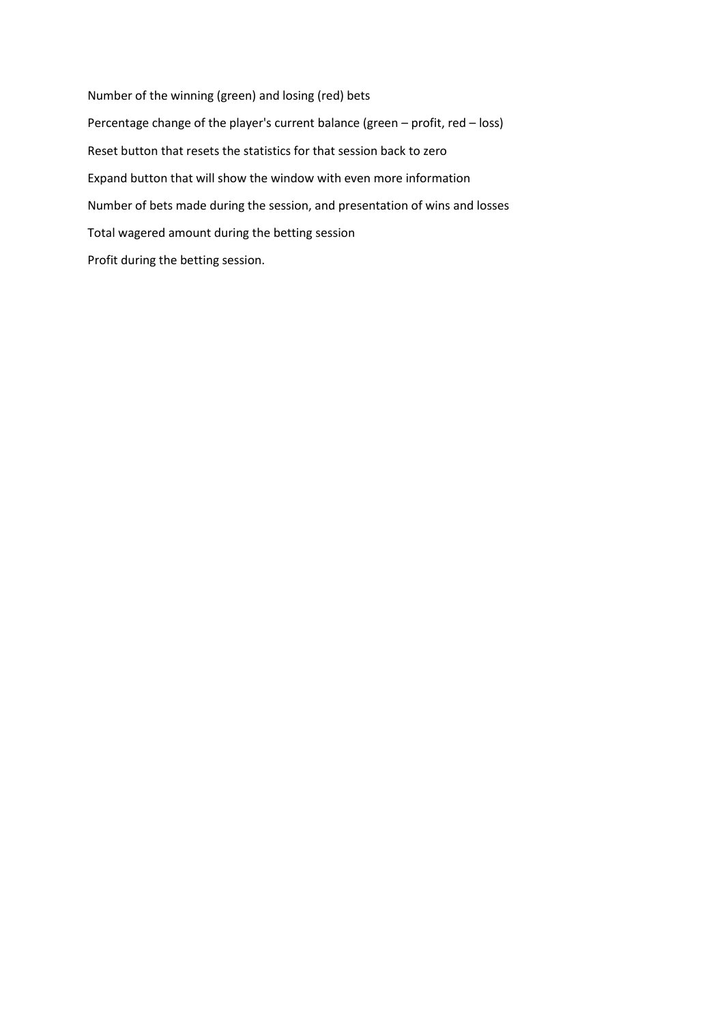Number of the winning (green) and losing (red) bets Percentage change of the player's current balance (green – profit, red – loss) Reset button that resets the statistics for that session back to zero Expand button that will show the window with even more information Number of bets made during the session, and presentation of wins and losses Total wagered amount during the betting session Profit during the betting session.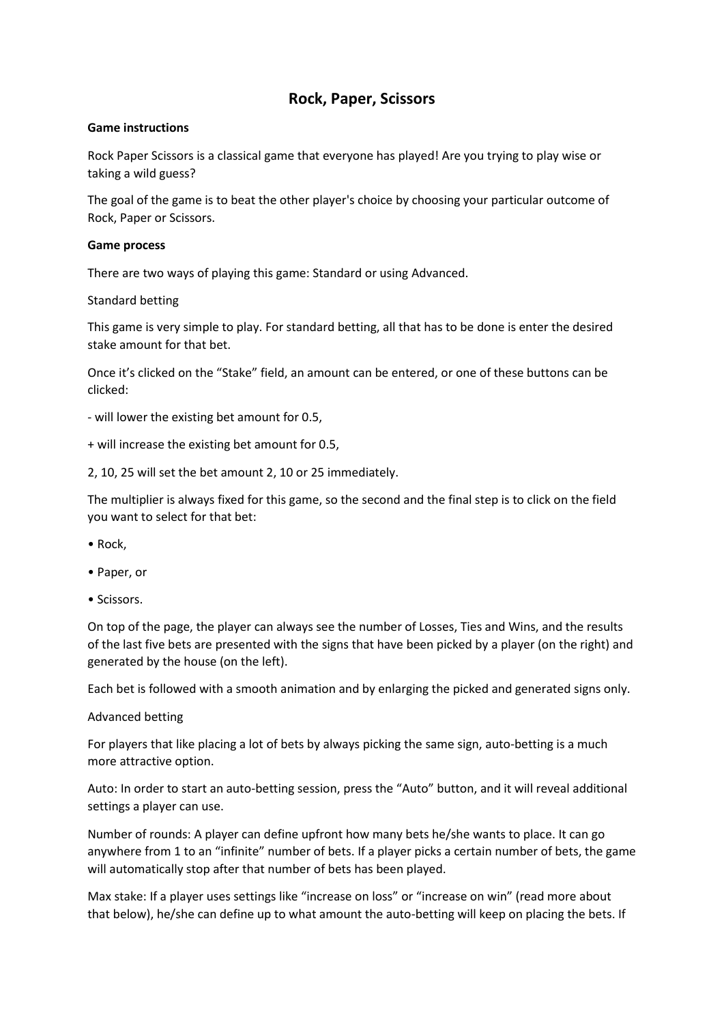# **Rock, Paper, Scissors**

# **Game instructions**

Rock Paper Scissors is a classical game that everyone has played! Are you trying to play wise or taking a wild guess?

The goal of the game is to beat the other player's choice by choosing your particular outcome of Rock, Paper or Scissors.

### **Game process**

There are two ways of playing this game: Standard or using Advanced.

Standard betting

This game is very simple to play. For standard betting, all that has to be done is enter the desired stake amount for that bet.

Once it's clicked on the "Stake" field, an amount can be entered, or one of these buttons can be clicked:

- will lower the existing bet amount for 0.5,
- + will increase the existing bet amount for 0.5,

2, 10, 25 will set the bet amount 2, 10 or 25 immediately.

The multiplier is always fixed for this game, so the second and the final step is to click on the field you want to select for that bet:

- Rock,
- Paper, or
- Scissors.

On top of the page, the player can always see the number of Losses, Ties and Wins, and the results of the last five bets are presented with the signs that have been picked by a player (on the right) and generated by the house (on the left).

Each bet is followed with a smooth animation and by enlarging the picked and generated signs only.

### Advanced betting

For players that like placing a lot of bets by always picking the same sign, auto-betting is a much more attractive option.

Auto: In order to start an auto-betting session, press the "Auto" button, and it will reveal additional settings a player can use.

Number of rounds: A player can define upfront how many bets he/she wants to place. It can go anywhere from 1 to an "infinite" number of bets. If a player picks a certain number of bets, the game will automatically stop after that number of bets has been played.

Max stake: If a player uses settings like "increase on loss" or "increase on win" (read more about that below), he/she can define up to what amount the auto-betting will keep on placing the bets. If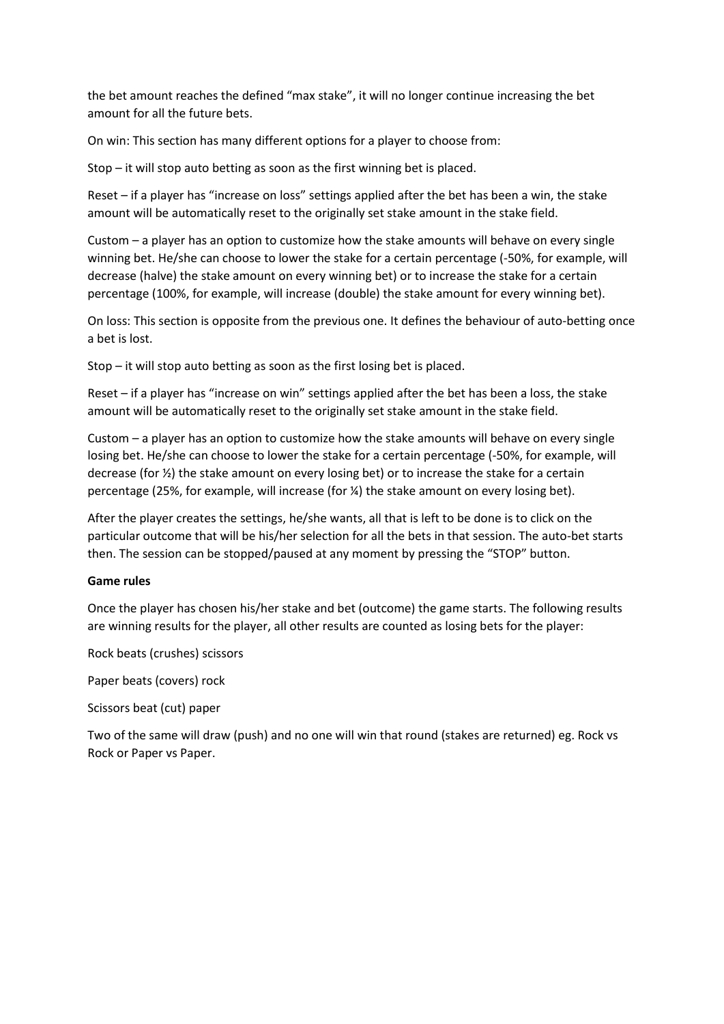the bet amount reaches the defined "max stake", it will no longer continue increasing the bet amount for all the future bets.

On win: This section has many different options for a player to choose from:

Stop – it will stop auto betting as soon as the first winning bet is placed.

Reset – if a player has "increase on loss" settings applied after the bet has been a win, the stake amount will be automatically reset to the originally set stake amount in the stake field.

Custom – a player has an option to customize how the stake amounts will behave on every single winning bet. He/she can choose to lower the stake for a certain percentage (-50%, for example, will decrease (halve) the stake amount on every winning bet) or to increase the stake for a certain percentage (100%, for example, will increase (double) the stake amount for every winning bet).

On loss: This section is opposite from the previous one. It defines the behaviour of auto-betting once a bet is lost.

Stop – it will stop auto betting as soon as the first losing bet is placed.

Reset – if a player has "increase on win" settings applied after the bet has been a loss, the stake amount will be automatically reset to the originally set stake amount in the stake field.

Custom – a player has an option to customize how the stake amounts will behave on every single losing bet. He/she can choose to lower the stake for a certain percentage (-50%, for example, will decrease (for ½) the stake amount on every losing bet) or to increase the stake for a certain percentage (25%, for example, will increase (for ¼) the stake amount on every losing bet).

After the player creates the settings, he/she wants, all that is left to be done is to click on the particular outcome that will be his/her selection for all the bets in that session. The auto-bet starts then. The session can be stopped/paused at any moment by pressing the "STOP" button.

# **Game rules**

Once the player has chosen his/her stake and bet (outcome) the game starts. The following results are winning results for the player, all other results are counted as losing bets for the player:

Rock beats (crushes) scissors

Paper beats (covers) rock

Scissors beat (cut) paper

Two of the same will draw (push) and no one will win that round (stakes are returned) eg. Rock vs Rock or Paper vs Paper.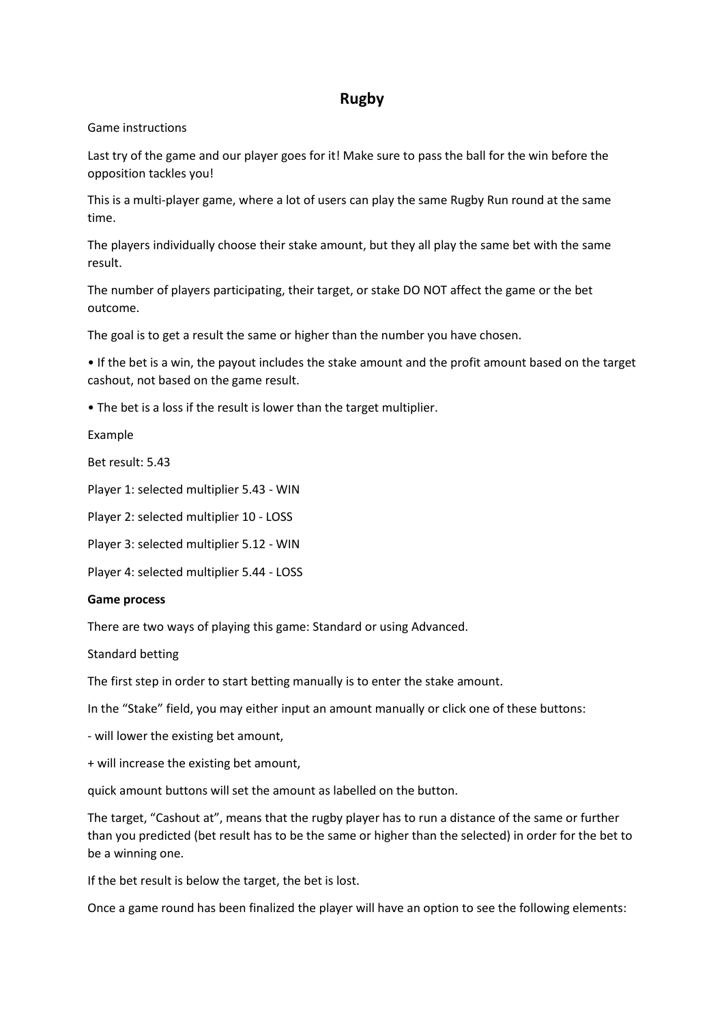# **Rugby**

### Game instructions

Last try of the game and our player goes for it! Make sure to pass the ball for the win before the opposition tackles you!

This is a multi-player game, where a lot of users can play the same Rugby Run round at the same time.

The players individually choose their stake amount, but they all play the same bet with the same result.

The number of players participating, their target, or stake DO NOT affect the game or the bet outcome.

The goal is to get a result the same or higher than the number you have chosen.

• If the bet is a win, the payout includes the stake amount and the profit amount based on the target cashout, not based on the game result.

• The bet is a loss if the result is lower than the target multiplier.

Example

Bet result: 5.43

Player 1: selected multiplier 5.43 - WIN

Player 2: selected multiplier 10 - LOSS

Player 3: selected multiplier 5.12 - WIN

Player 4: selected multiplier 5.44 - LOSS

### **Game process**

There are two ways of playing this game: Standard or using Advanced.

Standard betting

The first step in order to start betting manually is to enter the stake amount.

In the "Stake" field, you may either input an amount manually or click one of these buttons:

- will lower the existing bet amount,

+ will increase the existing bet amount,

quick amount buttons will set the amount as labelled on the button.

The target, "Cashout at", means that the rugby player has to run a distance of the same or further than you predicted (bet result has to be the same or higher than the selected) in order for the bet to be a winning one.

If the bet result is below the target, the bet is lost.

Once a game round has been finalized the player will have an option to see the following elements: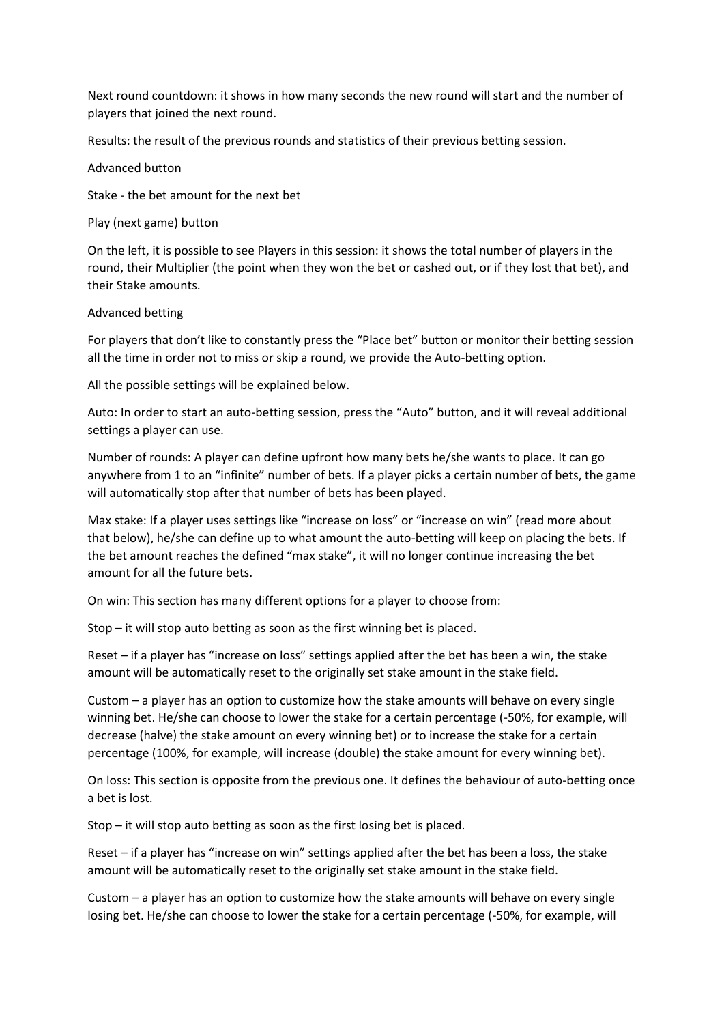Next round countdown: it shows in how many seconds the new round will start and the number of players that joined the next round.

Results: the result of the previous rounds and statistics of their previous betting session.

Advanced button

Stake - the bet amount for the next bet

Play (next game) button

On the left, it is possible to see Players in this session: it shows the total number of players in the round, their Multiplier (the point when they won the bet or cashed out, or if they lost that bet), and their Stake amounts.

# Advanced betting

For players that don't like to constantly press the "Place bet" button or monitor their betting session all the time in order not to miss or skip a round, we provide the Auto-betting option.

All the possible settings will be explained below.

Auto: In order to start an auto-betting session, press the "Auto" button, and it will reveal additional settings a player can use.

Number of rounds: A player can define upfront how many bets he/she wants to place. It can go anywhere from 1 to an "infinite" number of bets. If a player picks a certain number of bets, the game will automatically stop after that number of bets has been played.

Max stake: If a player uses settings like "increase on loss" or "increase on win" (read more about that below), he/she can define up to what amount the auto-betting will keep on placing the bets. If the bet amount reaches the defined "max stake", it will no longer continue increasing the bet amount for all the future bets.

On win: This section has many different options for a player to choose from:

Stop – it will stop auto betting as soon as the first winning bet is placed.

Reset – if a player has "increase on loss" settings applied after the bet has been a win, the stake amount will be automatically reset to the originally set stake amount in the stake field.

Custom – a player has an option to customize how the stake amounts will behave on every single winning bet. He/she can choose to lower the stake for a certain percentage (-50%, for example, will decrease (halve) the stake amount on every winning bet) or to increase the stake for a certain percentage (100%, for example, will increase (double) the stake amount for every winning bet).

On loss: This section is opposite from the previous one. It defines the behaviour of auto-betting once a bet is lost.

Stop – it will stop auto betting as soon as the first losing bet is placed.

Reset – if a player has "increase on win" settings applied after the bet has been a loss, the stake amount will be automatically reset to the originally set stake amount in the stake field.

Custom – a player has an option to customize how the stake amounts will behave on every single losing bet. He/she can choose to lower the stake for a certain percentage (-50%, for example, will